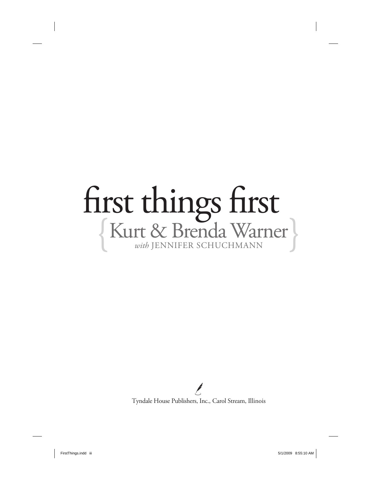# first things first Kurt & Brenda Warner { } *with* JENNIFER SCHUCHMANN

Tyndale House Publishers, Inc., Carol Stream, Illinois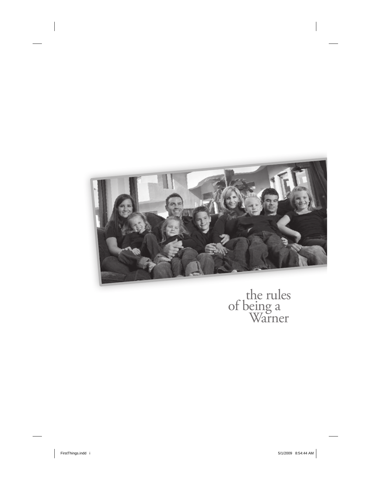

 $\epsilon_1$  the rules of being a Warner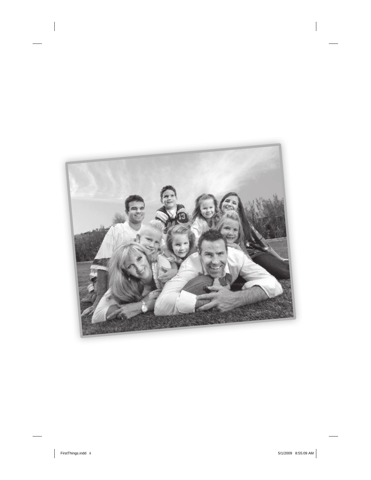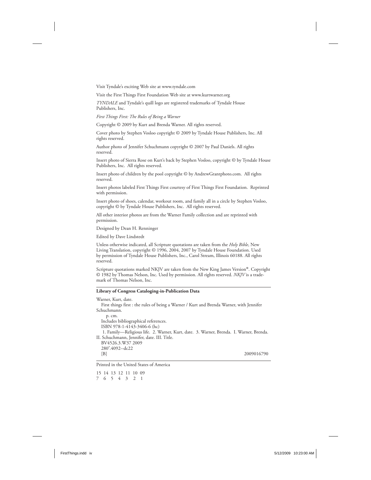Visit Tyndale's exciting Web site at www.tyndale.com

Visit the First Things First Foundation Web site at www.kurtwarner.org

*TYNDALE* and Tyndale's quill logo are registered trademarks of Tyndale House Publishers, Inc.

*First Things First: The Rules of Being a Warner*

Copyright © 2009 by Kurt and Brenda Warner. All rights reserved.

Cover photo by Stephen Vosloo copyright © 2009 by Tyndale House Publishers, Inc. All rights reserved.

Author photo of Jennifer Schuchmann copyright © 2007 by Paul Daniels. All rights reserved.

Insert photo of Sierra Rose on Kurt's back by Stephen Vosloo, copyright © by Tyndale House Publishers, Inc. All rights reserved.

Insert photo of children by the pool copyright © by AndrewGrantphoto.com. All rights reserved.

Insert photos labeled First Things First courtesy of First Things First Foundation. Reprinted with permission.

Insert photo of shoes, calendar, workout room, and family all in a circle by Stephen Vosloo, copyright © by Tyndale House Publishers, Inc. All rights reserved.

All other interior photos are from the Warner Family collection and are reprinted with permission.

Designed by Dean H. Renninger

Edited by Dave Lindstedt

Unless otherwise indicated, all Scripture quotations are taken from the *Holy Bible*, New Living Translation, copyright © 1996, 2004, 2007 by Tyndale House Foundation. Used by permission of Tyndale House Publishers, Inc., Carol Stream, Illinois 60188. All rights reserved.

Scripture quotations marked NKJV are taken from the New King James Version®. Copyright © 1982 by Thomas Nelson, Inc. Used by permission. All rights reserved. *NKJV* is a trademark of Thomas Nelson, Inc.

#### **Library of Congress Cataloging-in-Publication Data**

Warner, Kurt, date. First things first : the rules of being a Warner / Kurt and Brenda Warner, with Jennifer Schuchmann. p. cm. Includes bibliographical references. ISBN 978-1-4143-3406-6 (hc) 1. Family—Religious life. 2. Warner, Kurt, date. 3. Warner, Brenda. I. Warner, Brenda. II. Schuchmann, Jennifer, date. III. Title. BV4526.3.W37 2009 280′.4092--dc22 [B] 2009016790

Printed in the United States of America

15 14 13 12 11 10 09 7 6 5 4 3 2 1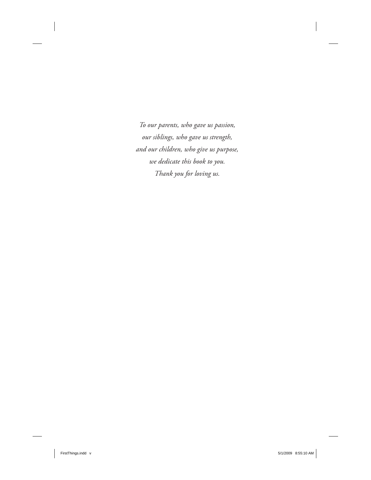*To our parents, who gave us passion, our siblings, who gave us strength, and our children, who give us purpose, we dedicate this book to you. Thank you for loving us.*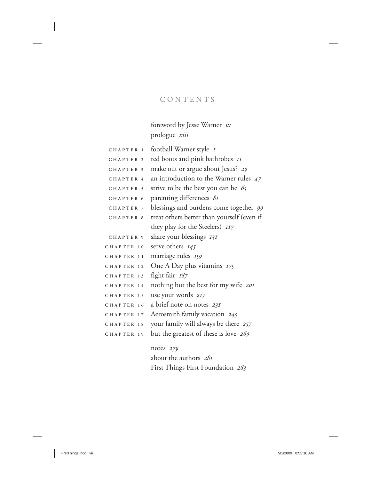# CONTENTS

```
 foreword by Jesse Warner ix
prologue xiii
```

| CHAPTER 1  | football Warner style 1                    |
|------------|--------------------------------------------|
| CHAPTER 2  | red boots and pink bathrobes II            |
| CHAPTER 3  | make out or argue about Jesus? 29          |
| CHAPTER 4  | an introduction to the Warner rules $47$   |
| CHAPTER 5  | strive to be the best you can be $65$      |
| CHAPTER 6  | parenting differences 81                   |
| CHAPTER 7  | blessings and burdens come together 99     |
| CHAPTER 8  | treat others better than yourself (even if |
|            | they play for the Steelers) 117            |
| CHAPTER 9  | share your blessings 131                   |
| CHAPTER 10 | serve others 145                           |
| CHAPTER 11 | marriage rules 159                         |
| CHAPTER 12 | One A Day plus vitamins 175                |
| CHAPTER 13 | fight fair $187$                           |
| CHAPTER 14 | nothing but the best for my wife 201       |
| CHAPTER 15 | use your words 217                         |
| CHAPTER 16 | a brief note on notes 231                  |
| CHAPTER 17 | Aerosmith family vacation 245              |
| CHAPTER 18 | your family will always be there 257       |
| CHAPTER 19 | but the greatest of these is love 269      |
|            |                                            |

 notes *279* about the authors *281* First Things First Foundation *283*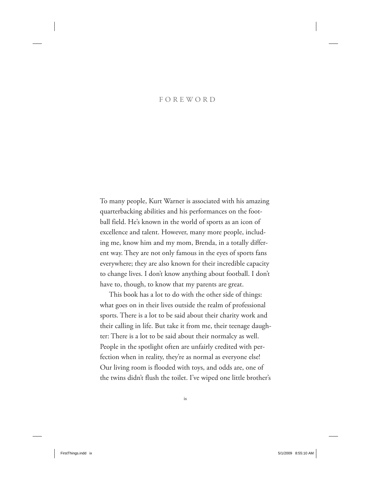#### FOREWORD

To many people, Kurt Warner is associated with his amazing quarterbacking abilities and his performances on the football field. He's known in the world of sports as an icon of excellence and talent. However, many more people, including me, know him and my mom, Brenda, in a totally different way. They are not only famous in the eyes of sports fans everywhere; they are also known for their incredible capacity to change lives. I don't know anything about football. I don't have to, though, to know that my parents are great.

This book has a lot to do with the other side of things: what goes on in their lives outside the realm of professional sports. There is a lot to be said about their charity work and their calling in life. But take it from me, their teenage daughter: There is a lot to be said about their normalcy as well. People in the spotlight often are unfairly credited with perfection when in reality, they're as normal as everyone else! Our living room is flooded with toys, and odds are, one of the twins didn't flush the toilet. I've wiped one little brother's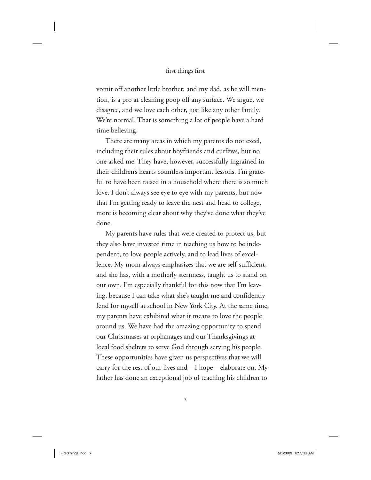vomit off another little brother; and my dad, as he will mention, is a pro at cleaning poop off any surface. We argue, we disagree, and we love each other, just like any other family. We're normal. That is something a lot of people have a hard time believing.

There are many areas in which my parents do not excel, including their rules about boyfriends and curfews, but no one asked me! They have, however, successfully ingrained in their children's hearts countless important lessons. I'm grateful to have been raised in a household where there is so much love. I don't always see eye to eye with my parents, but now that I'm getting ready to leave the nest and head to college, more is becoming clear about why they've done what they've done.

My parents have rules that were created to protect us, but they also have invested time in teaching us how to be independent, to love people actively, and to lead lives of excellence. My mom always emphasizes that we are self-sufficient, and she has, with a motherly sternness, taught us to stand on our own. I'm especially thankful for this now that I'm leaving, because I can take what she's taught me and confidently fend for myself at school in New York City. At the same time, my parents have exhibited what it means to love the people around us. We have had the amazing opportunity to spend our Christmases at orphanages and our Thanksgivings at local food shelters to serve God through serving his people. These opportunities have given us perspectives that we will carry for the rest of our lives and—I hope—elaborate on. My father has done an exceptional job of teaching his children to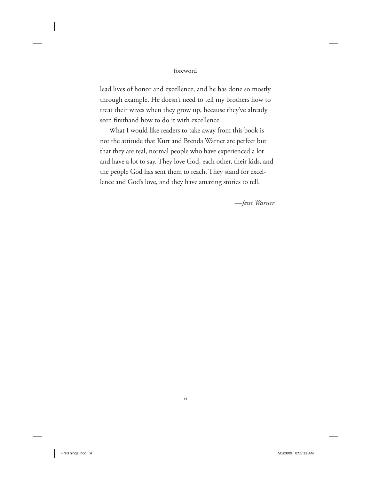#### foreword

lead lives of honor and excellence, and he has done so mostly through example. He doesn't need to tell my brothers how to treat their wives when they grow up, because they've already seen firsthand how to do it with excellence.

What I would like readers to take away from this book is not the attitude that Kurt and Brenda Warner are perfect but that they are real, normal people who have experienced a lot and have a lot to say. They love God, each other, their kids, and the people God has sent them to reach. They stand for excellence and God's love, and they have amazing stories to tell.

*—Jesse Warner*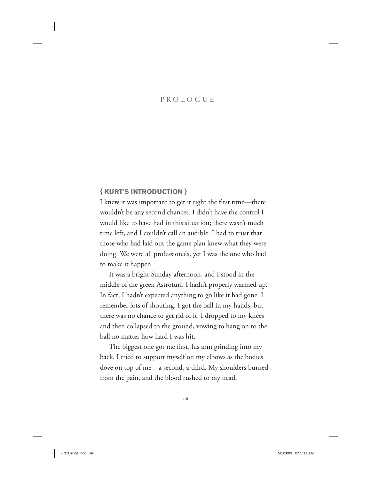# PROLOGUE

#### **{ KURT'S INTRODUCTION }**

I knew it was important to get it right the first time—there wouldn't be any second chances. I didn't have the control I would like to have had in this situation; there wasn't much time left, and I couldn't call an audible. I had to trust that those who had laid out the game plan knew what they were doing. We were all professionals, yet I was the one who had to make it happen.

It was a bright Sunday afternoon, and I stood in the middle of the green Astroturf. I hadn't properly warmed up. In fact, I hadn't expected anything to go like it had gone. I remember lots of shouting. I got the ball in my hands, but there was no chance to get rid of it. I dropped to my knees and then collapsed to the ground, vowing to hang on to the ball no matter how hard I was hit.

The biggest one got me first, his arm grinding into my back. I tried to support myself on my elbows as the bodies dove on top of me—a second, a third. My shoulders burned from the pain, and the blood rushed to my head.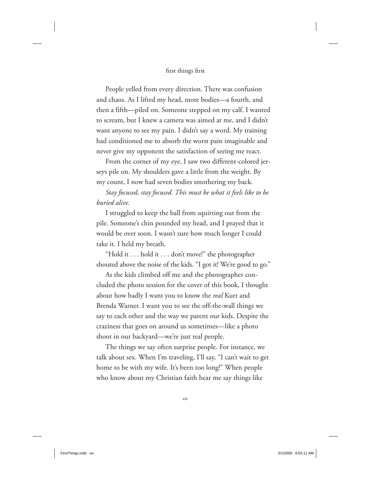People yelled from every direction. There was confusion and chaos. As I lifted my head, more bodies—a fourth, and then a fifth—piled on. Someone stepped on my calf. I wanted to scream, but I knew a camera was aimed at me, and I didn't want anyone to see my pain. I didn't say a word. My training had conditioned me to absorb the worst pain imaginable and never give my opponent the satisfaction of seeing me react.

From the corner of my eye, I saw two different-colored jerseys pile on. My shoulders gave a little from the weight. By my count, I now had seven bodies smothering my back.

*Stay focused, stay focused. This must be what it feels like to be buried alive.*

I struggled to keep the ball from squirting out from the pile. Someone's chin pounded my head, and I prayed that it would be over soon. I wasn't sure how much longer I could take it. I held my breath.

"Hold it . . . hold it . . . don't move!" the photographer shouted above the noise of the kids. "I got it! We're good to go."

As the kids climbed off me and the photographer concluded the photo session for the cover of this book, I thought about how badly I want you to know the *real* Kurt and Brenda Warner. I want you to see the off-the-wall things we say to each other and the way we parent our kids. Despite the craziness that goes on around us sometimes—like a photo shoot in our backyard—we're just real people.

The things we say often surprise people. For instance, we talk about sex. When I'm traveling, I'll say, "I can't wait to get home to be with my wife. It's been too long!" When people who know about my Christian faith hear me say things like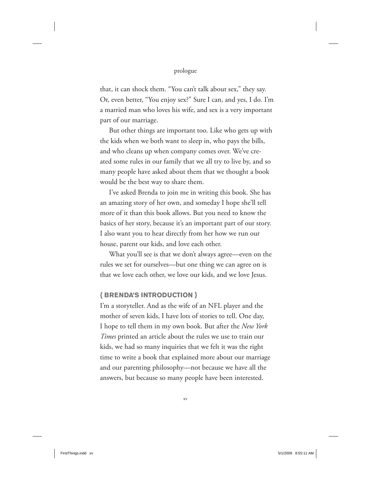#### prologue

that, it can shock them. "You can't talk about sex," they say. Or, even better, "You enjoy sex?" Sure I can, and yes, I do. I'm a married man who loves his wife, and sex is a very important part of our marriage.

But other things are important too. Like who gets up with the kids when we both want to sleep in, who pays the bills, and who cleans up when company comes over. We've created some rules in our family that we all try to live by, and so many people have asked about them that we thought a book would be the best way to share them.

I've asked Brenda to join me in writing this book. She has an amazing story of her own, and someday I hope she'll tell more of it than this book allows. But you need to know the basics of her story, because it's an important part of our story. I also want you to hear directly from her how we run our house, parent our kids, and love each other.

What you'll see is that we don't always agree—even on the rules we set for ourselves—but one thing we can agree on is that we love each other, we love our kids, and we love Jesus.

# **{ BRENDA'S INTRODUCTION }**

I'm a storyteller. And as the wife of an NFL player and the mother of seven kids, I have lots of stories to tell. One day, I hope to tell them in my own book. But after the *New York Times* printed an article about the rules we use to train our kids, we had so many inquiries that we felt it was the right time to write a book that explained more about our marriage and our parenting philosophy—not because we have all the answers, but because so many people have been interested.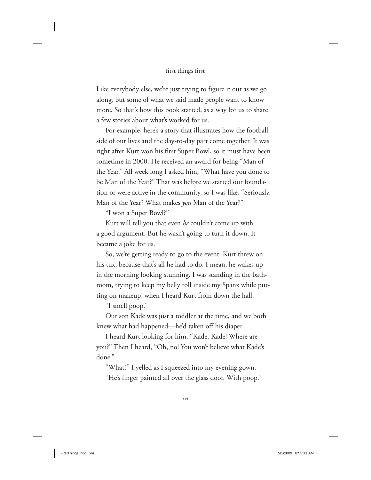Like everybody else, we're just trying to figure it out as we go along, but some of what we said made people want to know more. So that's how this book started, as a way for us to share a few stories about what's worked for us.

For example, here's a story that illustrates how the football side of our lives and the day-to-day part come together. It was right after Kurt won his first Super Bowl, so it must have been sometime in 2000. He received an award for being "Man of the Year." All week long I asked him, "What have you done to be Man of the Year?" That was before we started our foundation or were active in the community, so I was like, "Seriously, Man of the Year? What makes *you* Man of the Year?"

"I won a Super Bowl?"

Kurt will tell you that even *he* couldn't come up with a good argument. But he wasn't going to turn it down. It became a joke for us.

So, we're getting ready to go to the event. Kurt threw on his tux, because that's all he had to do. I mean, he wakes up in the morning looking stunning. I was standing in the bathroom, trying to keep my belly roll inside my Spanx while putting on makeup, when I heard Kurt from down the hall.

"I smell poop."

Our son Kade was just a toddler at the time, and we both knew what had happened—he'd taken off his diaper.

I heard Kurt looking for him. "Kade. Kade! Where are you?" Then I heard, "Oh, no! You won't believe what Kade's done."

"What?" I yelled as I squeezed into my evening gown.

"He's finger painted all over the glass door. With poop."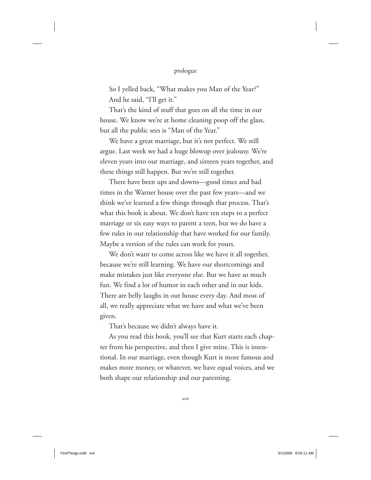#### prologue

So I yelled back, "What makes you Man of the Year?" And he said, "I'll get it."

That's the kind of stuff that goes on all the time in our house. We know we're at home cleaning poop off the glass, but all the public sees is "Man of the Year."

We have a great marriage, but it's not perfect. We still argue. Last week we had a huge blowup over jealousy. We're eleven years into our marriage, and sixteen years together, and these things still happen. But we're still together.

There have been ups and downs—good times and bad times in the Warner house over the past few years—and we think we've learned a few things through that process. That's what this book is about. We don't have ten steps to a perfect marriage or six easy ways to parent a teen, but we do have a few rules in our relationship that have worked for our family. Maybe a version of the rules can work for yours.

We don't want to come across like we have it all together, because we're still learning. We have our shortcomings and make mistakes just like everyone else. But we have so much fun. We find a lot of humor in each other and in our kids. There are belly laughs in our house every day. And most of all, we really appreciate what we have and what we've been given.

That's because we didn't always have it.

As you read this book, you'll see that Kurt starts each chapter from his perspective, and then I give mine. This is intentional. In our marriage, even though Kurt is more famous and makes more money, or whatever, we have equal voices, and we both shape our relationship and our parenting.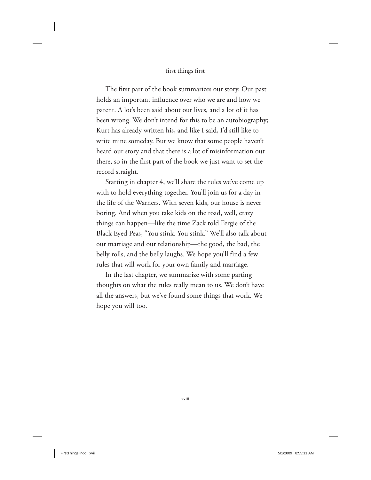The first part of the book summarizes our story. Our past holds an important influence over who we are and how we parent. A lot's been said about our lives, and a lot of it has been wrong. We don't intend for this to be an autobiography; Kurt has already written his, and like I said, I'd still like to write mine someday. But we know that some people haven't heard our story and that there is a lot of misinformation out there, so in the first part of the book we just want to set the record straight.

Starting in chapter 4, we'll share the rules we've come up with to hold everything together. You'll join us for a day in the life of the Warners. With seven kids, our house is never boring. And when you take kids on the road, well, crazy things can happen—like the time Zack told Fergie of the Black Eyed Peas, "You stink. You stink." We'll also talk about our marriage and our relationship—the good, the bad, the belly rolls, and the belly laughs. We hope you'll find a few rules that will work for your own family and marriage.

In the last chapter, we summarize with some parting thoughts on what the rules really mean to us. We don't have all the answers, but we've found some things that work. We hope you will too.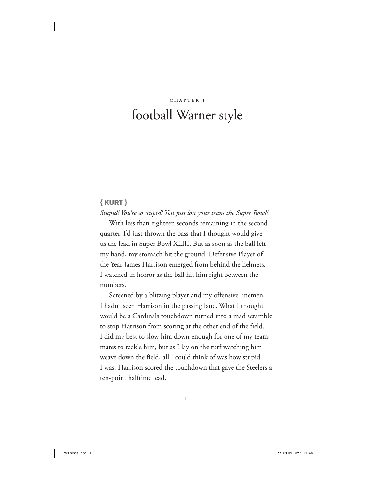#### **CHAPTER 1**

# football Warner style

#### **{ KURT }**

*Stupid! You're so stupid! You just lost your team the Super Bowl!*

With less than eighteen seconds remaining in the second quarter, I'd just thrown the pass that I thought would give us the lead in Super Bowl XLIII. But as soon as the ball left my hand, my stomach hit the ground. Defensive Player of the Year James Harrison emerged from behind the helmets. I watched in horror as the ball hit him right between the numbers.

Screened by a blitzing player and my offensive linemen, I hadn't seen Harrison in the passing lane. What I thought would be a Cardinals touchdown turned into a mad scramble to stop Harrison from scoring at the other end of the field. I did my best to slow him down enough for one of my teammates to tackle him, but as I lay on the turf watching him weave down the field, all I could think of was how stupid I was. Harrison scored the touchdown that gave the Steelers a ten-point halftime lead.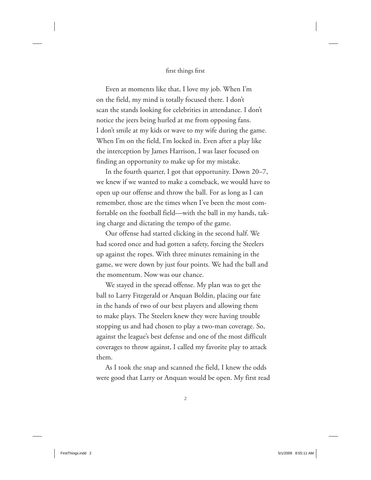Even at moments like that, I love my job. When I'm on the field, my mind is totally focused there. I don't scan the stands looking for celebrities in attendance. I don't notice the jeers being hurled at me from opposing fans. I don't smile at my kids or wave to my wife during the game. When I'm on the field, I'm locked in. Even after a play like the interception by James Harrison, I was laser focused on finding an opportunity to make up for my mistake.

In the fourth quarter, I got that opportunity. Down 20–7, we knew if we wanted to make a comeback, we would have to open up our offense and throw the ball. For as long as I can remember, those are the times when I've been the most comfortable on the football field—with the ball in my hands, taking charge and dictating the tempo of the game.

Our offense had started clicking in the second half. We had scored once and had gotten a safety, forcing the Steelers up against the ropes. With three minutes remaining in the game, we were down by just four points. We had the ball and the momentum. Now was our chance.

We stayed in the spread offense. My plan was to get the ball to Larry Fitzgerald or Anquan Boldin, placing our fate in the hands of two of our best players and allowing them to make plays. The Steelers knew they were having trouble stopping us and had chosen to play a two-man coverage. So, against the league's best defense and one of the most difficult coverages to throw against, I called my favorite play to attack them.

As I took the snap and scanned the field, I knew the odds were good that Larry or Anquan would be open. My first read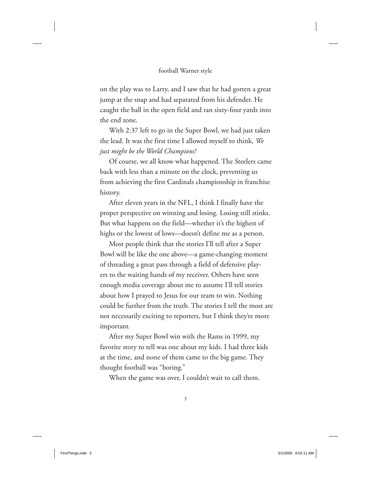on the play was to Larry, and I saw that he had gotten a great jump at the snap and had separated from his defender. He caught the ball in the open field and ran sixty-four yards into the end zone.

With 2:37 left to go in the Super Bowl, we had just taken the lead. It was the first time I allowed myself to think, *We just might be the World Champions!*

Of course, we all know what happened. The Steelers came back with less than a minute on the clock, preventing us from achieving the first Cardinals championship in franchise history.

After eleven years in the NFL, I think I finally have the proper perspective on winning and losing. Losing still stinks. But what happens on the field—whether it's the highest of highs or the lowest of lows—doesn't define me as a person.

Most people think that the stories I'll tell after a Super Bowl will be like the one above—a game-changing moment of threading a great pass through a field of defensive players to the waiting hands of my receiver. Others have seen enough media coverage about me to assume I'll tell stories about how I prayed to Jesus for our team to win. Nothing could be further from the truth. The stories I tell the most are not necessarily exciting to reporters, but I think they're more important.

After my Super Bowl win with the Rams in 1999, my favorite story to tell was one about my kids. I had three kids at the time, and none of them came to the big game. They thought football was "boring."

When the game was over, I couldn't wait to call them.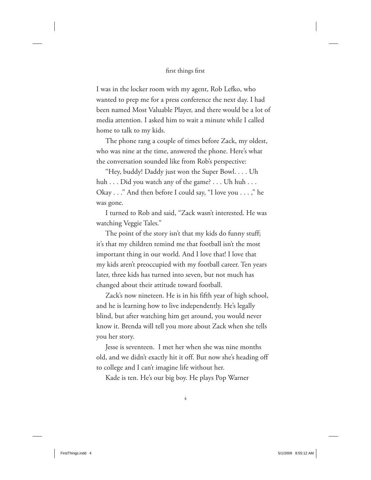I was in the locker room with my agent, Rob Lefko, who wanted to prep me for a press conference the next day. I had been named Most Valuable Player, and there would be a lot of media attention. I asked him to wait a minute while I called home to talk to my kids.

The phone rang a couple of times before Zack, my oldest, who was nine at the time, answered the phone. Here's what the conversation sounded like from Rob's perspective:

"Hey, buddy! Daddy just won the Super Bowl. . . . Uh huh . . . Did you watch any of the game? . . . Uh huh . . . Okay . . ." And then before I could say, "I love you . . . ," he was gone.

I turned to Rob and said, "Zack wasn't interested. He was watching Veggie Tales."

The point of the story isn't that my kids do funny stuff; it's that my children remind me that football isn't the most important thing in our world. And I love that! I love that my kids aren't preoccupied with my football career. Ten years later, three kids has turned into seven, but not much has changed about their attitude toward football.

Zack's now nineteen. He is in his fifth year of high school, and he is learning how to live independently. He's legally blind, but after watching him get around, you would never know it. Brenda will tell you more about Zack when she tells you her story.

Jesse is seventeen. I met her when she was nine months old, and we didn't exactly hit it off. But now she's heading off to college and I can't imagine life without her.

Kade is ten. He's our big boy. He plays Pop Warner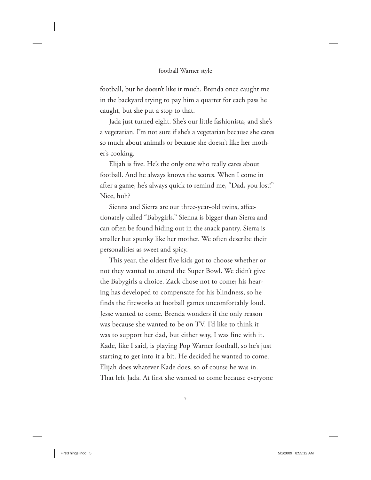football, but he doesn't like it much. Brenda once caught me in the backyard trying to pay him a quarter for each pass he caught, but she put a stop to that.

Jada just turned eight. She's our little fashionista, and she's a vegetarian. I'm not sure if she's a vegetarian because she cares so much about animals or because she doesn't like her mother's cooking.

Elijah is five. He's the only one who really cares about football. And he always knows the scores. When I come in after a game, he's always quick to remind me, "Dad, you lost!" Nice, huh?

Sienna and Sierra are our three-year-old twins, affectionately called "Babygirls." Sienna is bigger than Sierra and can often be found hiding out in the snack pantry. Sierra is smaller but spunky like her mother. We often describe their personalities as sweet and spicy.

This year, the oldest five kids got to choose whether or not they wanted to attend the Super Bowl. We didn't give the Babygirls a choice. Zack chose not to come; his hearing has developed to compensate for his blindness, so he finds the fireworks at football games uncomfortably loud. Jesse wanted to come. Brenda wonders if the only reason was because she wanted to be on TV. I'd like to think it was to support her dad, but either way, I was fine with it. Kade, like I said, is playing Pop Warner football, so he's just starting to get into it a bit. He decided he wanted to come. Elijah does whatever Kade does, so of course he was in. That left Jada. At first she wanted to come because everyone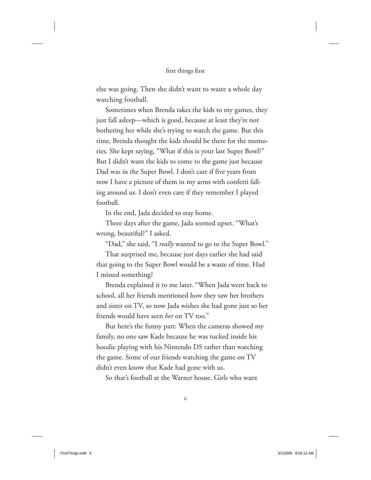else was going. Then she didn't want to waste a whole day watching football.

Sometimes when Brenda takes the kids to my games, they just fall asleep—which is good, because at least they're not bothering her while she's trying to watch the game. But this time, Brenda thought the kids should be there for the memories. She kept saying, "What if this is your last Super Bowl?" But I didn't want the kids to come to the game just because Dad was in the Super Bowl. I don't care if five years from now I have a picture of them in my arms with confetti falling around us. I don't even care if they remember I played football.

In the end, Jada decided to stay home.

Three days after the game, Jada seemed upset. "What's wrong, beautiful?" I asked.

"Dad," she said, "I *really* wanted to go to the Super Bowl."

That surprised me, because just days earlier she had said that going to the Super Bowl would be a waste of time. Had I missed something?

Brenda explained it to me later. "When Jada went back to school, all her friends mentioned how they saw her brothers and sister on TV, so now Jada wishes she had gone just so her friends would have seen *her* on TV too."

But here's the funny part: When the cameras showed my family, no one saw Kade because he was tucked inside his hoodie playing with his Nintendo DS rather than watching the game. Some of our friends watching the game on TV didn't even know that Kade had gone with us.

So that's football at the Warner house. Girls who want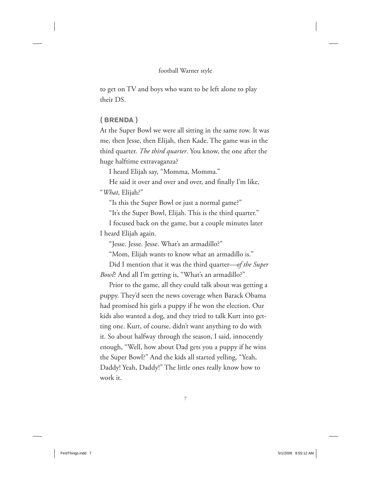to get on TV and boys who want to be left alone to play their DS.

# **{ BRENDA }**

At the Super Bowl we were all sitting in the same row. It was me, then Jesse, then Elijah, then Kade. The game was in the third quarter. *The third quarter*. You know, the one after the huge halftime extravaganza?

I heard Elijah say, "Momma, Momma."

He said it over and over and over, and finally I'm like, "*What*, Elijah?"

"Is this the Super Bowl or just a normal game?"

"It's the Super Bowl, Elijah. This is the third quarter."

I focused back on the game, but a couple minutes later I heard Elijah again.

"Jesse. Jesse. Jesse. What's an armadillo?"

"Mom, Elijah wants to know what an armadillo is."

Did I mention that it was the third quarter—*of the Super Bowl*? And all I'm getting is, "What's an armadillo?"

Prior to the game, all they could talk about was getting a puppy. They'd seen the news coverage when Barack Obama had promised his girls a puppy if he won the election. Our kids also wanted a dog, and they tried to talk Kurt into getting one. Kurt, of course, didn't want anything to do with it. So about halfway through the season, I said, innocently enough, "Well, how about Dad gets you a puppy if he wins the Super Bowl?" And the kids all started yelling, "Yeah, Daddy! Yeah, Daddy!" The little ones really know how to work it.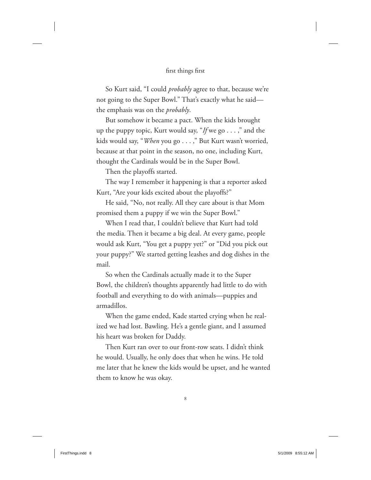So Kurt said, "I could *probably* agree to that, because we're not going to the Super Bowl." That's exactly what he said the emphasis was on the *probably*.

But somehow it became a pact. When the kids brought up the puppy topic, Kurt would say, "*If* we go . . . ," and the kids would say, "*When* you go . . . ," But Kurt wasn't worried, because at that point in the season, no one, including Kurt, thought the Cardinals would be in the Super Bowl.

Then the playoffs started.

The way I remember it happening is that a reporter asked Kurt, "Are your kids excited about the playoffs?"

He said, "No, not really. All they care about is that Mom promised them a puppy if we win the Super Bowl."

When I read that, I couldn't believe that Kurt had told the media. Then it became a big deal. At every game, people would ask Kurt, "You get a puppy yet?" or "Did you pick out your puppy?" We started getting leashes and dog dishes in the mail.

So when the Cardinals actually made it to the Super Bowl, the children's thoughts apparently had little to do with football and everything to do with animals—puppies and armadillos.

When the game ended, Kade started crying when he realized we had lost. Bawling. He's a gentle giant, and I assumed his heart was broken for Daddy.

Then Kurt ran over to our front-row seats. I didn't think he would. Usually, he only does that when he wins. He told me later that he knew the kids would be upset, and he wanted them to know he was okay.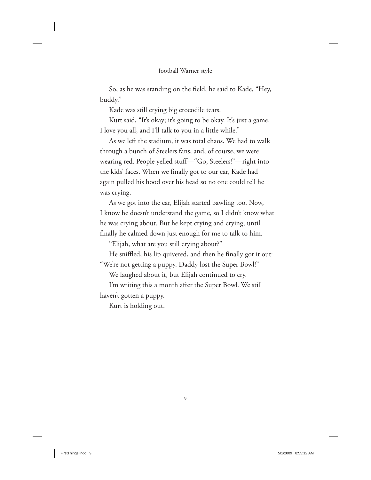So, as he was standing on the field, he said to Kade, "Hey, buddy."

Kade was still crying big crocodile tears.

Kurt said, "It's okay; it's going to be okay. It's just a game. I love you all, and I'll talk to you in a little while."

As we left the stadium, it was total chaos. We had to walk through a bunch of Steelers fans, and, of course, we were wearing red. People yelled stuff—"Go, Steelers!"—right into the kids' faces. When we finally got to our car, Kade had again pulled his hood over his head so no one could tell he was crying.

As we got into the car, Elijah started bawling too. Now, I know he doesn't understand the game, so I didn't know what he was crying about. But he kept crying and crying, until finally he calmed down just enough for me to talk to him.

"Elijah, what are you still crying about?"

He sniffled, his lip quivered, and then he finally got it out: "We're not getting a puppy. Daddy lost the Super Bowl!"

We laughed about it, but Elijah continued to cry.

I'm writing this a month after the Super Bowl. We still haven't gotten a puppy.

Kurt is holding out.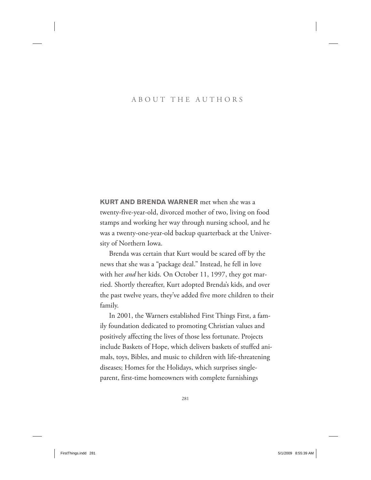#### ABOUT THE AUTHORS

**KURT AND BRENDA WARNER** met when she was a twenty-five-year-old, divorced mother of two, living on food stamps and working her way through nursing school, and he was a twenty-one-year-old backup quarterback at the University of Northern Iowa.

Brenda was certain that Kurt would be scared off by the news that she was a "package deal." Instead, he fell in love with her *and* her kids. On October 11, 1997, they got married. Shortly thereafter, Kurt adopted Brenda's kids, and over the past twelve years, they've added five more children to their family.

In 2001, the Warners established First Things First, a family foundation dedicated to promoting Christian values and positively affecting the lives of those less fortunate. Projects include Baskets of Hope, which delivers baskets of stuffed animals, toys, Bibles, and music to children with life-threatening diseases; Homes for the Holidays, which surprises single parent, first-time homeowners with complete furnishings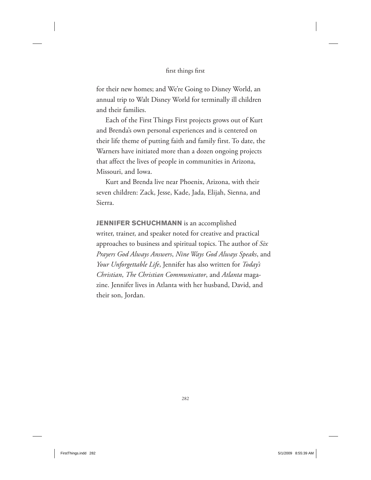for their new homes; and We're Going to Disney World, an annual trip to Walt Disney World for terminally ill children and their families.

Each of the First Things First projects grows out of Kurt and Brenda's own personal experiences and is centered on their life theme of putting faith and family first. To date, the Warners have initiated more than a dozen ongoing projects that affect the lives of people in communities in Arizona, Missouri, and Iowa.

Kurt and Brenda live near Phoenix, Arizona, with their seven children: Zack, Jesse, Kade, Jada, Elijah, Sienna, and Sierra.

**JENNIFER SCHUCHMANN** is an accomplished writer, trainer, and speaker noted for creative and practical approaches to business and spiritual topics. The author of *Six Prayers God Always Answers*, *Nine Ways God Always Speaks*, and *Your Unforgettable Life*, Jennifer has also written for *Today's Christian*, *The Christian Communicator*, and *Atlanta* magazine. Jennifer lives in Atlanta with her husband, David, and their son, Jordan.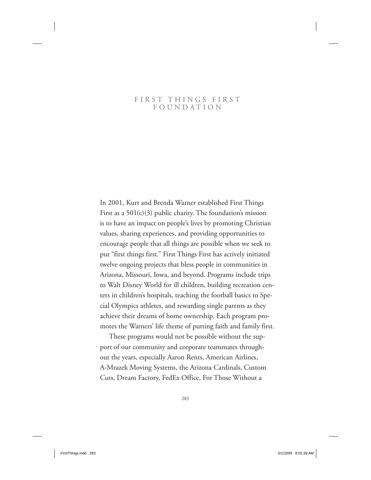### FIRST THINGS FIRST FOUNDATION

In 2001, Kurt and Brenda Warner established First Things First as a  $501(c)(3)$  public charity. The foundation's mission is to have an impact on people's lives by promoting Christian values, sharing experiences, and providing opportunities to encourage people that all things are possible when we seek to put "first things first." First Things First has actively initiated twelve ongoing projects that bless people in communities in Arizona, Missouri, Iowa, and beyond. Programs include trips to Walt Disney World for ill children, building recreation centers in children's hospitals, teaching the football basics to Special Olympics athletes, and rewarding single parents as they achieve their dreams of home ownership. Each program promotes the Warners' life theme of putting faith and family first.

These programs would not be possible without the support of our community and corporate teammates throughout the years, especially Aaron Rents, American Airlines, A-Mrazek Moving Systems, the Arizona Cardinals, Custom Cuts, Dream Factory, FedEx Office, For Those Without a